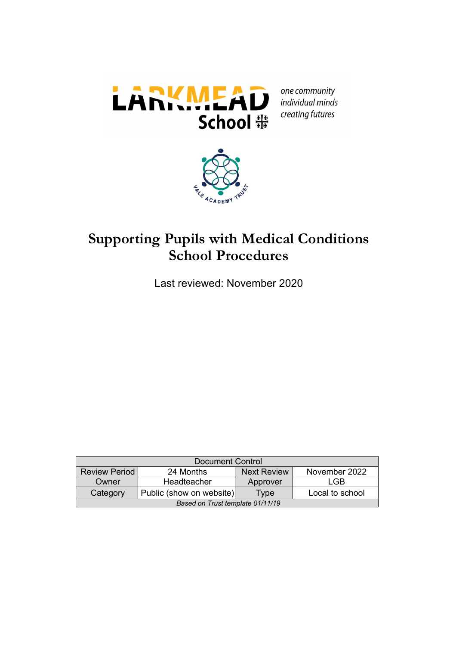

one community individual minds creating futures



# **Supporting Pupils with Medical Conditions School Procedures**

Last reviewed: November 2020

| <b>Document Control</b>                                                  |  |  |  |  |  |
|--------------------------------------------------------------------------|--|--|--|--|--|
| November 2022<br><b>Review Period</b><br>24 Months<br><b>Next Review</b> |  |  |  |  |  |
| LGB<br>Headteacher<br>Owner<br>Approver                                  |  |  |  |  |  |
| Public (show on website)<br>Local to school<br>Category<br>Type          |  |  |  |  |  |
| Based on Trust template 01/11/19                                         |  |  |  |  |  |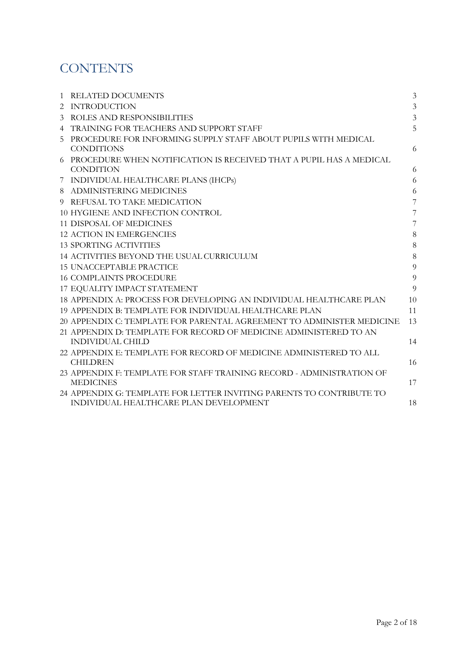# **CONTENTS**

| 1 | <b>RELATED DOCUMENTS</b>                                              | $\mathfrak{Z}$ |
|---|-----------------------------------------------------------------------|----------------|
| 2 | <b>INTRODUCTION</b>                                                   | 3              |
| 3 | ROLES AND RESPONSIBILITIES                                            | $\mathfrak{Z}$ |
| 4 | TRAINING FOR TEACHERS AND SUPPORT STAFF                               | 5              |
| 5 | PROCEDURE FOR INFORMING SUPPLY STAFF ABOUT PUPILS WITH MEDICAL        |                |
|   | <b>CONDITIONS</b>                                                     | 6              |
| 6 | PROCEDURE WHEN NOTIFICATION IS RECEIVED THAT A PUPIL HAS A MEDICAL    |                |
|   | <b>CONDITION</b>                                                      | 6              |
|   | 7 INDIVIDUAL HEALTHCARE PLANS (IHCPs)                                 | 6              |
|   | 8 ADMINISTERING MEDICINES                                             | 6              |
|   | 9 REFUSAL TO TAKE MEDICATION                                          | 7              |
|   | 10 HYGIENE AND INFECTION CONTROL                                      | 7              |
|   | <b>11 DISPOSAL OF MEDICINES</b>                                       | $\overline{7}$ |
|   | <b>12 ACTION IN EMERGENCIES</b>                                       | 8              |
|   | <b>13 SPORTING ACTIVITIES</b>                                         | 8              |
|   | 14 ACTIVITIES BEYOND THE USUAL CURRICULUM                             | 8              |
|   | <b>15 UNACCEPTABLE PRACTICE</b>                                       | $\overline{9}$ |
|   | <b>16 COMPLAINTS PROCEDURE</b>                                        | 9              |
|   | 17 EQUALITY IMPACT STATEMENT                                          | 9              |
|   | 18 APPENDIX A: PROCESS FOR DEVELOPING AN INDIVIDUAL HEALTHCARE PLAN   | 10             |
|   | 19 APPENDIX B: TEMPLATE FOR INDIVIDUAL HEALTHCARE PLAN                | 11             |
|   | 20 APPENDIX C: TEMPLATE FOR PARENTAL AGREEMENT TO ADMINISTER MEDICINE | 13             |
|   | 21 APPENDIX D: TEMPLATE FOR RECORD OF MEDICINE ADMINISTERED TO AN     |                |
|   | <b>INDIVIDUAL CHILD</b>                                               | 14             |
|   | 22 APPENDIX E: TEMPLATE FOR RECORD OF MEDICINE ADMINISTERED TO ALL    |                |
|   | <b>CHILDREN</b>                                                       | 16             |
|   | 23 APPENDIX F: TEMPLATE FOR STAFF TRAINING RECORD - ADMINISTRATION OF |                |
|   | <b>MEDICINES</b>                                                      | 17             |
|   | 24 APPENDIX G: TEMPLATE FOR LETTER INVITING PARENTS TO CONTRIBUTE TO  |                |
|   | INDIVIDUAL HEALTHCARE PLAN DEVELOPMENT                                | 18             |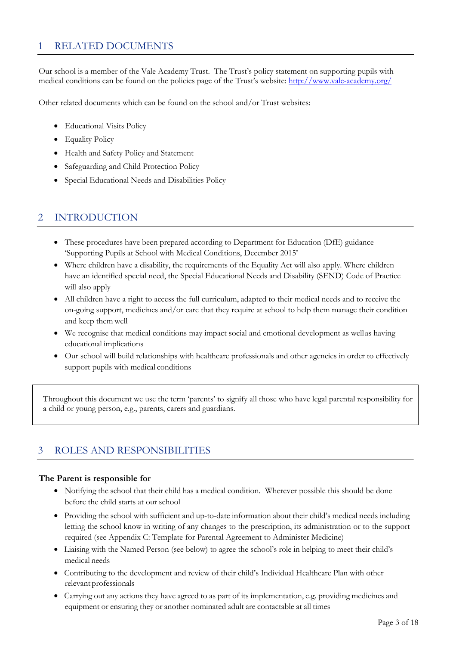### 1 RELATED DOCUMENTS

Our school is a member of the Vale Academy Trust. The Trust's policy statement on supporting pupils with medical conditions can be found on the policies page of the Trust's website: http://www.vale-academy.org/

Other related documents which can be found on the school and/or Trust websites:

- Educational Visits Policy
- Equality Policy
- Health and Safety Policy and Statement
- Safeguarding and Child Protection Policy
- Special Educational Needs and Disabilities Policy

## 2 INTRODUCTION

- These procedures have been prepared according to Department for Education (DfE) guidance 'Supporting Pupils at School with Medical Conditions, December 2015'
- Where children have a disability, the requirements of the Equality Act will also apply. Where children have an identified special need, the Special Educational Needs and Disability (SEND) Code of Practice will also apply
- All children have a right to access the full curriculum, adapted to their medical needs and to receive the on-going support, medicines and/or care that they require at school to help them manage their condition and keep them well
- We recognise that medical conditions may impact social and emotional development as well as having educational implications
- Our school will build relationships with healthcare professionals and other agencies in order to effectively support pupils with medical conditions

Throughout this document we use the term 'parents' to signify all those who have legal parental responsibility for a child or young person, e.g., parents, carers and guardians.

## 3 ROLES AND RESPONSIBILITIES

#### **The Parent is responsible for**

- Notifying the school that their child has a medical condition. Wherever possible this should be done before the child starts at our school
- Providing the school with sufficient and up-to-date information about their child's medical needs including letting the school know in writing of any changes to the prescription, its administration or to the support required (see Appendix C: Template for Parental Agreement to Administer Medicine)
- Liaising with the Named Person (see below) to agree the school's role in helping to meet their child's medical needs
- Contributing to the development and review of their child's Individual Healthcare Plan with other relevant professionals
- Carrying out any actions they have agreed to as part of its implementation, e.g. providing medicines and equipment or ensuring they or another nominated adult are contactable at all times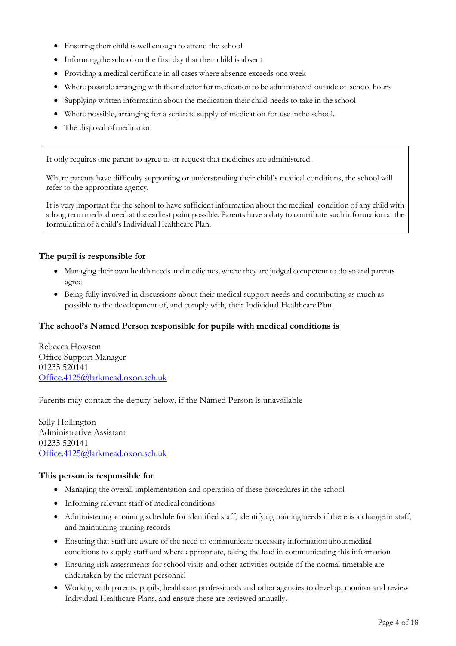- Ensuring their child is well enough to attend the school
- Informing the school on the first day that their child is absent
- Providing a medical certificate in all cases where absence exceeds one week
- Where possible arranging with their doctor for medication to be administered outside of school hours
- Supplying written information about the medication their child needs to take in the school
- Where possible, arranging for a separate supply of medication for use inthe school.
- The disposal of medication

It only requires one parent to agree to or request that medicines are administered.

Where parents have difficulty supporting or understanding their child's medical conditions, the school will refer to the appropriate agency.

It is very important for the school to have sufficient information about the medical condition of any child with a long term medical need at the earliest point possible. Parents have a duty to contribute such information at the formulation of a child's Individual Healthcare Plan.

#### **The pupil is responsible for**

- Managing their own health needs and medicines, where they are judged competent to do so and parents agree
- Being fully involved in discussions about their medical support needs and contributing as much as possible to the development of, and comply with, their Individual Healthcare Plan

#### **The school's Named Person responsible for pupils with medical conditions is**

Rebecca Howson Office Support Manager 01235 520141 Office.4125@larkmead.oxon.sch.uk

Parents may contact the deputy below, if the Named Person is unavailable

Sally Hollington Administrative Assistant 01235 520141 Office.4125@larkmead.oxon.sch.uk

#### **This person is responsible for**

- Managing the overall implementation and operation of these procedures in the school
- Informing relevant staff of medical conditions
- Administering a training schedule for identified staff, identifying training needs if there is a change in staff, and maintaining training records
- Ensuring that staff are aware of the need to communicate necessary information about medical conditions to supply staff and where appropriate, taking the lead in communicating this information
- Ensuring risk assessments for school visits and other activities outside of the normal timetable are undertaken by the relevant personnel
- Working with parents, pupils, healthcare professionals and other agencies to develop, monitor and review Individual Healthcare Plans, and ensure these are reviewed annually.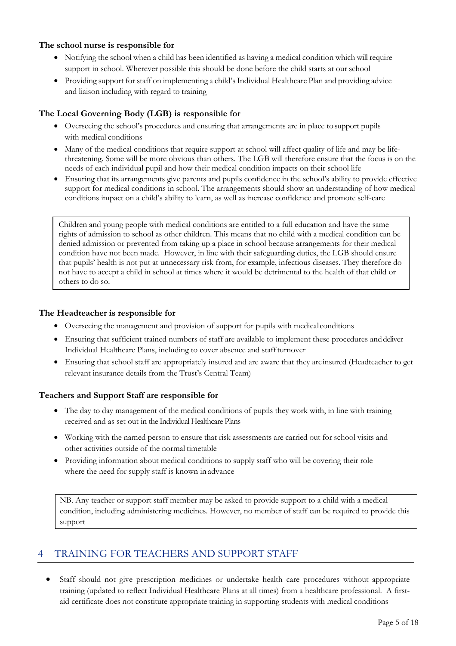#### **The school nurse is responsible for**

- Notifying the school when a child has been identified as having a medical condition which will require support in school. Wherever possible this should be done before the child starts at our school
- Providing support for staff on implementing a child's Individual Healthcare Plan and providing advice and liaison including with regard to training

#### **The Local Governing Body (LGB) is responsible for**

- Overseeing the school's procedures and ensuring that arrangements are in place tosupport pupils with medical conditions
- Many of the medical conditions that require support at school will affect quality of life and may be lifethreatening. Some will be more obvious than others. The LGB will therefore ensure that the focus is on the needs of each individual pupil and how their medical condition impacts on their school life
- Ensuring that its arrangements give parents and pupils confidence in the school's ability to provide effective support for medical conditions in school. The arrangements should show an understanding of how medical conditions impact on a child's ability to learn, as well as increase confidence and promote self-care

Children and young people with medical conditions are entitled to a full education and have the same rights of admission to school as other children. This means that no child with a medical condition can be denied admission or prevented from taking up a place in school because arrangements for their medical condition have not been made. However, in line with their safeguarding duties, the LGB should ensure that pupils' health is not put at unnecessary risk from, for example, infectious diseases. They therefore do not have to accept a child in school at times where it would be detrimental to the health of that child or others to do so.

#### **The Headteacher is responsible for**

- Overseeing the management and provision of support for pupils with medicalconditions
- Ensuring that sufficient trained numbers of staff are available to implement these procedures anddeliver Individual Healthcare Plans, including to cover absence and staffturnover
- Ensuring that school staff are appropriately insured and are aware that they areinsured (Headteacher to get relevant insurance details from the Trust's Central Team)

#### **Teachers and Support Staff are responsible for**

- The day to day management of the medical conditions of pupils they work with, in line with training received and as set out in the Individual Healthcare Plans
- Working with the named person to ensure that risk assessments are carried out for school visits and other activities outside of the normal timetable
- Providing information about medical conditions to supply staff who will be covering their role where the need for supply staff is known in advance

NB. Any teacher or support staff member may be asked to provide support to a child with a medical condition, including administering medicines. However, no member of staff can be required to provide this support

## 4 TRAINING FOR TEACHERS AND SUPPORT STAFF

Staff should not give prescription medicines or undertake health care procedures without appropriate training (updated to reflect Individual Healthcare Plans at all times) from a healthcare professional. A firstaid certificate does not constitute appropriate training in supporting students with medical conditions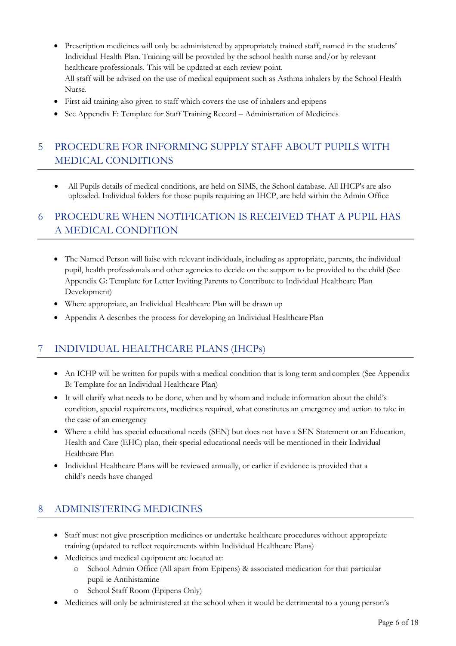- Prescription medicines will only be administered by appropriately trained staff, named in the students' Individual Health Plan. Training will be provided by the school health nurse and/or by relevant healthcare professionals. This will be updated at each review point. All staff will be advised on the use of medical equipment such as Asthma inhalers by the School Health Nurse.
- First aid training also given to staff which covers the use of inhalers and epipens
- See Appendix F: Template for Staff Training Record Administration of Medicines

## 5 PROCEDURE FOR INFORMING SUPPLY STAFF ABOUT PUPILS WITH MEDICAL CONDITIONS

• All Pupils details of medical conditions, are held on SIMS, the School database. All IHCP's are also uploaded. Individual folders for those pupils requiring an IHCP, are held within the Admin Office

## 6 PROCEDURE WHEN NOTIFICATION IS RECEIVED THAT A PUPIL HAS A MEDICAL CONDITION

- The Named Person will liaise with relevant individuals, including as appropriate, parents, the individual pupil, health professionals and other agencies to decide on the support to be provided to the child (See Appendix G: Template for Letter Inviting Parents to Contribute to Individual Healthcare Plan Development)
- Where appropriate, an Individual Healthcare Plan will be drawn up
- Appendix A describes the process for developing an Individual Healthcare Plan

## 7 INDIVIDUAL HEALTHCARE PLANS (IHCPs)

- An ICHP will be written for pupils with a medical condition that is long term and complex (See Appendix B: Template for an Individual Healthcare Plan)
- It will clarify what needs to be done, when and by whom and include information about the child's condition, special requirements, medicines required, what constitutes an emergency and action to take in the case of an emergency
- Where a child has special educational needs (SEN) but does not have a SEN Statement or an Education, Health and Care (EHC) plan, their special educational needs will be mentioned in their Individual Healthcare Plan
- Individual Healthcare Plans will be reviewed annually, or earlier if evidence is provided that a child's needs have changed

### 8 ADMINISTERING MEDICINES

- Staff must not give prescription medicines or undertake healthcare procedures without appropriate training (updated to reflect requirements within Individual Healthcare Plans)
- Medicines and medical equipment are located at:
	- o School Admin Office (All apart from Epipens) & associated medication for that particular pupil ie Antihistamine
	- o School Staff Room (Epipens Only)
- Medicines will only be administered at the school when it would be detrimental to a young person's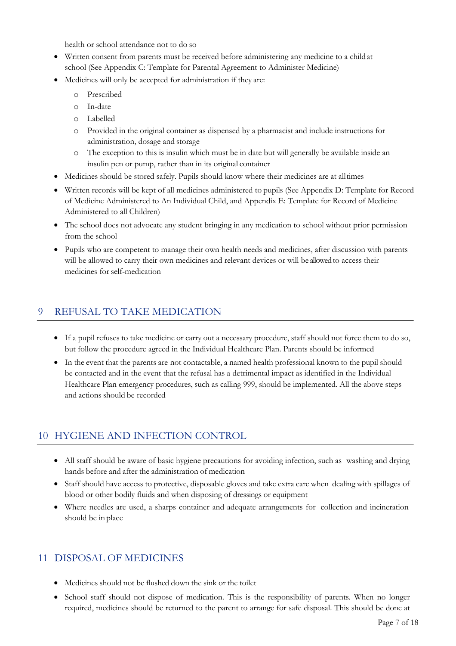health or school attendance not to do so

- Written consent from parents must be received before administering any medicine to a childat school (See Appendix C: Template for Parental Agreement to Administer Medicine)
- Medicines will only be accepted for administration if they are:
	- o Prescribed
	- o In-date
	- o Labelled
	- o Provided in the original container as dispensed by a pharmacist and include instructions for administration, dosage and storage
	- o The exception to this is insulin which must be in date but will generally be available inside an insulin pen or pump, rather than in its original container
- Medicines should be stored safely. Pupils should know where their medicines are at alltimes
- Written records will be kept of all medicines administered to pupils (See Appendix D: Template for Record of Medicine Administered to An Individual Child, and Appendix E: Template for Record of Medicine Administered to all Children)
- The school does not advocate any student bringing in any medication to school without prior permission from the school
- Pupils who are competent to manage their own health needs and medicines, after discussion with parents will be allowed to carry their own medicines and relevant devices or will be allowed to access their medicines for self-medication

## 9 REFUSAL TO TAKE MEDICATION

- If a pupil refuses to take medicine or carry out a necessary procedure, staff should not force them to do so, but follow the procedure agreed in the Individual Healthcare Plan. Parents should be informed
- In the event that the parents are not contactable, a named health professional known to the pupil should be contacted and in the event that the refusal has a detrimental impact as identified in the Individual Healthcare Plan emergency procedures, such as calling 999, should be implemented. All the above steps and actions should be recorded

## 10 HYGIENE AND INFECTION CONTROL

- All staff should be aware of basic hygiene precautions for avoiding infection, such as washing and drying hands before and after the administration of medication
- Staff should have access to protective, disposable gloves and take extra care when dealing with spillages of blood or other bodily fluids and when disposing of dressings or equipment
- Where needles are used, a sharps container and adequate arrangements for collection and incineration should be in place

### 11 DISPOSAL OF MEDICINES

- Medicines should not be flushed down the sink or the toilet
- School staff should not dispose of medication. This is the responsibility of parents. When no longer required, medicines should be returned to the parent to arrange for safe disposal. This should be done at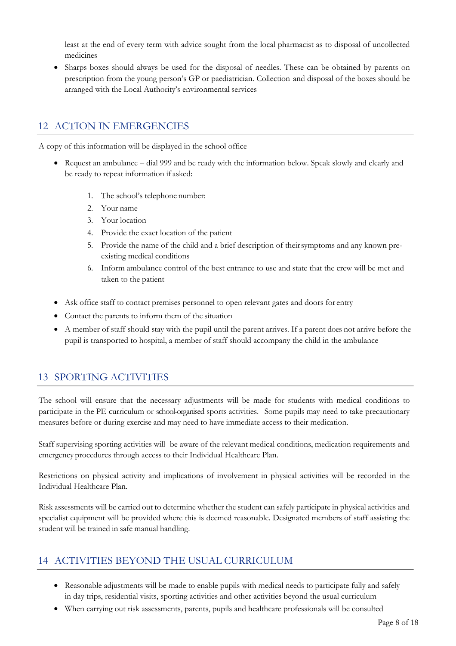least at the end of every term with advice sought from the local pharmacist as to disposal of uncollected medicines

• Sharps boxes should always be used for the disposal of needles. These can be obtained by parents on prescription from the young person's GP or paediatrician. Collection and disposal of the boxes should be arranged with the Local Authority's environmental services

## 12 ACTION IN EMERGENCIES

A copy of this information will be displayed in the school office

- Request an ambulance dial 999 and be ready with the information below. Speak slowly and clearly and be ready to repeat information if asked:
	- 1. The school's telephone number:
	- 2. Your name
	- 3. Your location
	- 4. Provide the exact location of the patient
	- 5. Provide the name of the child and a brief description of theirsymptoms and any known preexisting medical conditions
	- 6. Inform ambulance control of the best entrance to use and state that the crew will be met and taken to the patient
- Ask office staff to contact premises personnel to open relevant gates and doors for entry
- Contact the parents to inform them of the situation
- A member of staff should stay with the pupil until the parent arrives. If a parent does not arrive before the pupil is transported to hospital, a member of staff should accompany the child in the ambulance

## 13 SPORTING ACTIVITIES

The school will ensure that the necessary adjustments will be made for students with medical conditions to participate in the PE curriculum or school-organised sports activities. Some pupils may need to take precautionary measures before or during exercise and may need to have immediate access to their medication.

Staff supervising sporting activities will be aware of the relevant medical conditions, medication requirements and emergency procedures through access to their Individual Healthcare Plan.

Restrictions on physical activity and implications of involvement in physical activities will be recorded in the Individual Healthcare Plan.

Risk assessments will be carried out to determine whether the student can safely participate in physical activities and specialist equipment will be provided where this is deemed reasonable. Designated members of staff assisting the student will be trained in safe manual handling.

### 14 ACTIVITIES BEYOND THE USUAL CURRICULUM

- Reasonable adjustments will be made to enable pupils with medical needs to participate fully and safely in day trips, residential visits, sporting activities and other activities beyond the usual curriculum
- When carrying out risk assessments, parents, pupils and healthcare professionals will be consulted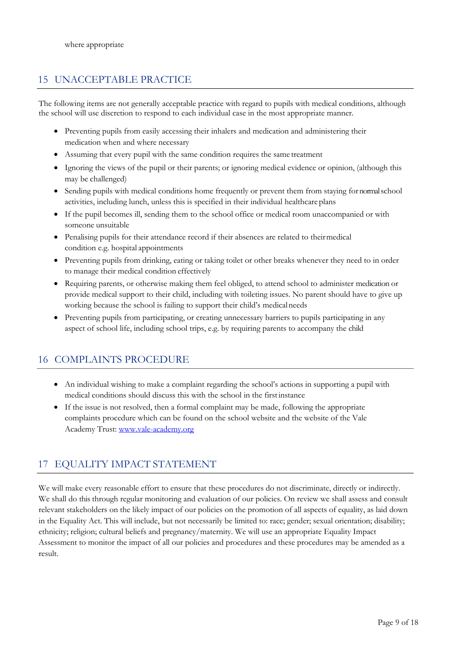## 15 UNACCEPTABLE PRACTICE

The following items are not generally acceptable practice with regard to pupils with medical conditions, although the school will use discretion to respond to each individual case in the most appropriate manner.

- Preventing pupils from easily accessing their inhalers and medication and administering their medication when and where necessary
- Assuming that every pupil with the same condition requires the same treatment
- Ignoring the views of the pupil or their parents; or ignoring medical evidence or opinion, (although this may be challenged)
- Sending pupils with medical conditions home frequently or prevent them from staying for normal school activities, including lunch, unless this is specified in their individual healthcare plans
- If the pupil becomes ill, sending them to the school office or medical room unaccompanied or with someone unsuitable
- Penalising pupils for their attendance record if their absences are related to theirmedical condition e.g. hospital appointments
- Preventing pupils from drinking, eating or taking toilet or other breaks whenever they need to in order to manage their medical condition effectively
- Requiring parents, or otherwise making them feel obliged, to attend school to administer medication or provide medical support to their child, including with toileting issues. No parent should have to give up working because the school is failing to support their child's medicalneeds
- Preventing pupils from participating, or creating unnecessary barriers to pupils participating in any aspect of school life, including school trips, e.g. by requiring parents to accompany the child

## 16 COMPLAINTS PROCEDURE

- An individual wishing to make a complaint regarding the school's actions in supporting a pupil with medical conditions should discuss this with the school in the firstinstance
- If the issue is not resolved, then a formal complaint may be made, following the appropriate complaints procedure which can be found on the school website and the website of the Vale Academy Trust: www.vale-academy.org

## 17 EQUALITY IMPACT STATEMENT

We will make every reasonable effort to ensure that these procedures do not discriminate, directly or indirectly. We shall do this through regular monitoring and evaluation of our policies. On review we shall assess and consult relevant stakeholders on the likely impact of our policies on the promotion of all aspects of equality, as laid down in the Equality Act. This will include, but not necessarily be limited to: race; gender; sexual orientation; disability; ethnicity; religion; cultural beliefs and pregnancy/maternity. We will use an appropriate Equality Impact Assessment to monitor the impact of all our policies and procedures and these procedures may be amended as a result.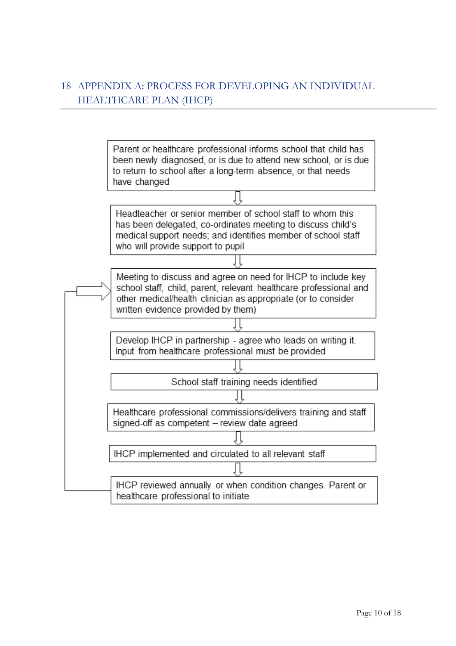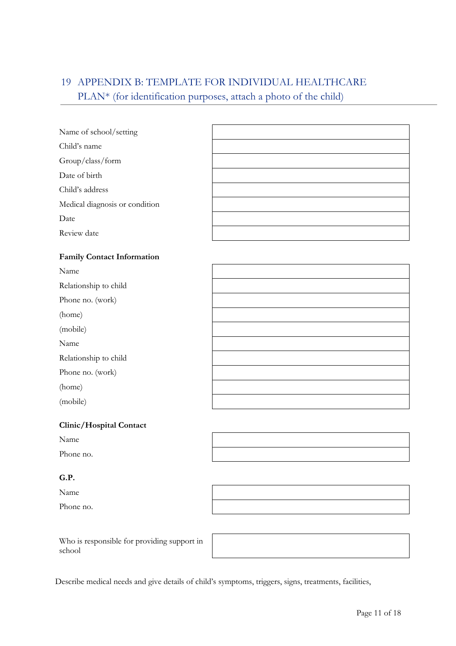## 19 APPENDIX B: TEMPLATE FOR INDIVIDUAL HEALTHCARE PLAN\* (for identification purposes, attach a photo of the child)

#### **Clinic/Hospital Contact**

| ۰,<br>.,<br>×,<br>20 M |
|------------------------|
|------------------------|

Phone no.

#### **G.P.**

Name

Phone no.

Who is responsible for providing support in school

Describe medical needs and give details of child's symptoms, triggers, signs, treatments, facilities,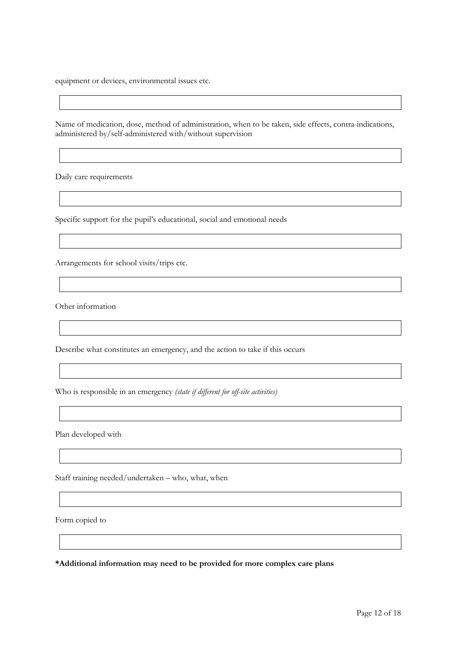equipment or devices, environmental issues etc.

Name of medication, dose, method of administration, when to be taken, side effects, contra-indications, administered by/self-administered with/without supervision

Daily care requirements

Specific support for the pupil's educational, social and emotional needs

Arrangements for school visits/trips etc.

Other information

Describe what constitutes an emergency, and the action to take if this occurs

Who is responsible in an emergency *(state if different for off-site activities)*

Plan developed with

Staff training needed/undertaken – who, what, when

Form copied to

**\*Additional information may need to be provided for more complex care plans**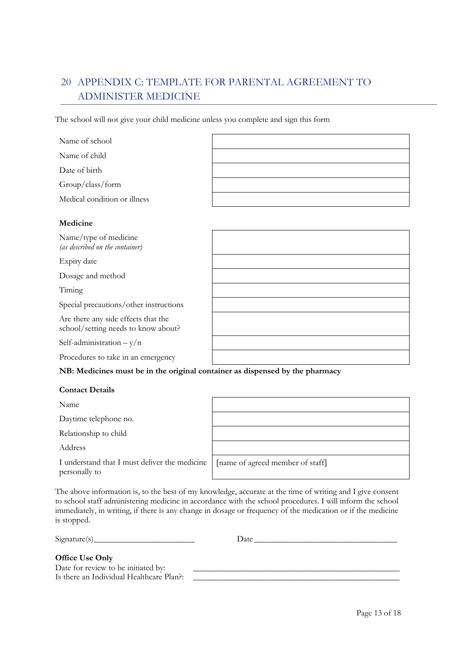## 20 APPENDIX C: TEMPLATE FOR PARENTAL AGREEMENT TO ADMINISTER MEDICINE

The school will not give your child medicine unless you complete and sign this form

| Name of school               |  |
|------------------------------|--|
| Name of child                |  |
| Date of birth                |  |
| Group/class/form             |  |
| Medical condition or illness |  |
|                              |  |

#### **Medicine**

| Name/type of medicine<br>(as described on the container)                   |  |
|----------------------------------------------------------------------------|--|
| Expiry date                                                                |  |
| Dosage and method                                                          |  |
| Timing                                                                     |  |
| Special precautions/other instructions                                     |  |
| Are there any side effects that the<br>school/setting needs to know about? |  |
| Self-administration $-y/n$                                                 |  |
| Procedures to take in an emergency                                         |  |

**NB: Medicines must be in the original container as dispensed by the pharmacy**

#### **Contact Details**

Name

Daytime telephone no.

Relationship to child

Address

I understand that I must deliver the medicine personally to

[name of agreed member of staff]

The above information is, to the best of my knowledge, accurate at the time of writing and I give consent to school staff administering medicine in accordance with the school procedures. I will inform the school immediately, in writing, if there is any change in dosage or frequency of the medication or if the medicine is stopped.

 $Signature(s)$  Date

### **Office Use Only**

Date for review to be initiated by: Is there an Individual Healthcare Plan?: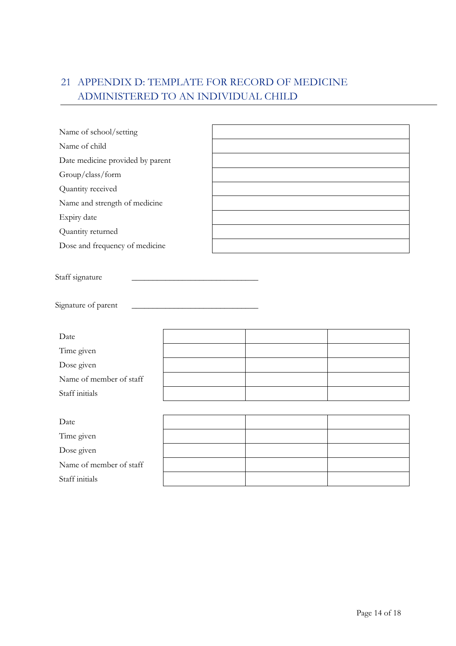## 21 APPENDIX D: TEMPLATE FOR RECORD OF MEDICINE ADMINISTERED TO AN INDIVIDUAL CHILD

| Name of school/setting                                                                                                  |  |  |
|-------------------------------------------------------------------------------------------------------------------------|--|--|
| Name of child                                                                                                           |  |  |
| Date medicine provided by parent                                                                                        |  |  |
| Group/class/form                                                                                                        |  |  |
| Quantity received                                                                                                       |  |  |
| Name and strength of medicine                                                                                           |  |  |
| Expiry date                                                                                                             |  |  |
| Quantity returned                                                                                                       |  |  |
| Dose and frequency of medicine                                                                                          |  |  |
| Staff signature<br>Signature of parent<br>Date<br>Time given<br>Dose given<br>Name of member of staff<br>Staff initials |  |  |
|                                                                                                                         |  |  |
| Date                                                                                                                    |  |  |
| Time given                                                                                                              |  |  |
| Dose given                                                                                                              |  |  |
| Name of member of staff                                                                                                 |  |  |
| Staff initials                                                                                                          |  |  |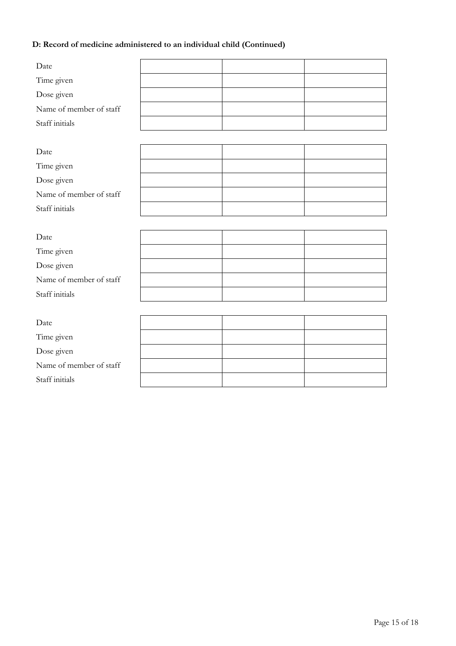### **D: Record of medicine administered to an individual child (Continued)**

| Date                    |  |  |
|-------------------------|--|--|
| Time given              |  |  |
| Dose given              |  |  |
| Name of member of staff |  |  |
| Staff initials          |  |  |
|                         |  |  |
| Date                    |  |  |
| Time given              |  |  |
| Dose given              |  |  |
| Name of member of staff |  |  |
| Staff initials          |  |  |
|                         |  |  |
| Date                    |  |  |
| Time given              |  |  |
| Dose given              |  |  |
| Name of member of staff |  |  |
| Staff initials          |  |  |
|                         |  |  |
| Date                    |  |  |
| Time given              |  |  |
| Dose given              |  |  |
| Name of member of staff |  |  |
| Staff initials          |  |  |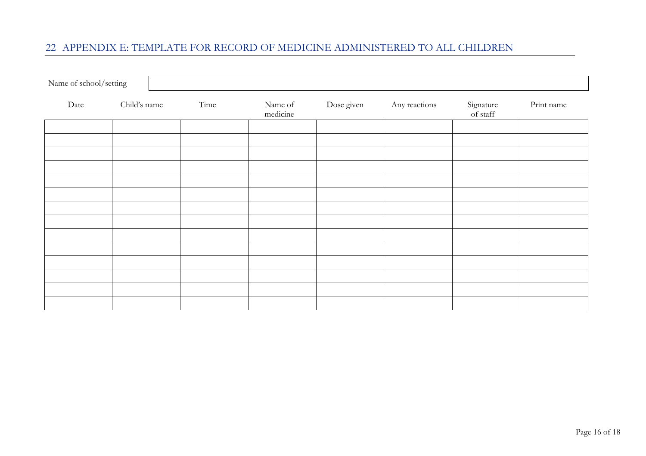## 22 APPENDIX E: TEMPLATE FOR RECORD OF MEDICINE ADMINISTERED TO ALL CHILDREN

| Name of school/setting |              |      |                     |            |               |                       |            |
|------------------------|--------------|------|---------------------|------------|---------------|-----------------------|------------|
| Date                   | Child's name | Time | Name of<br>medicine | Dose given | Any reactions | Signature<br>of staff | Print name |
|                        |              |      |                     |            |               |                       |            |
|                        |              |      |                     |            |               |                       |            |
|                        |              |      |                     |            |               |                       |            |
|                        |              |      |                     |            |               |                       |            |
|                        |              |      |                     |            |               |                       |            |
|                        |              |      |                     |            |               |                       |            |
|                        |              |      |                     |            |               |                       |            |
|                        |              |      |                     |            |               |                       |            |
|                        |              |      |                     |            |               |                       |            |
|                        |              |      |                     |            |               |                       |            |
|                        |              |      |                     |            |               |                       |            |
|                        |              |      |                     |            |               |                       |            |
|                        |              |      |                     |            |               |                       |            |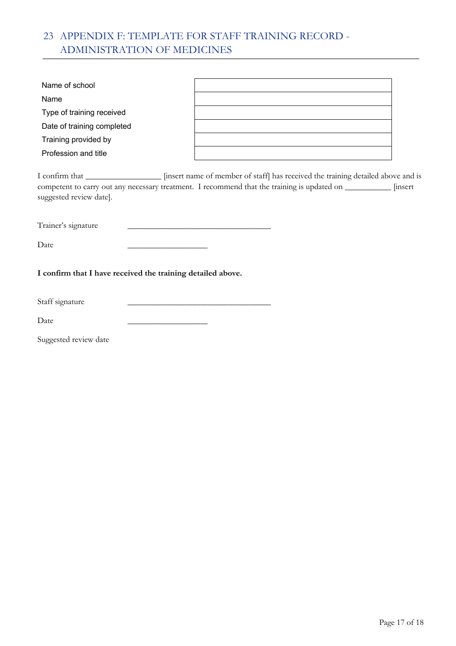## 23 APPENDIX F: TEMPLATE FOR STAFF TRAINING RECORD - ADMINISTRATION OF MEDICINES

| Name of school             |  |
|----------------------------|--|
| Name                       |  |
| Type of training received  |  |
| Date of training completed |  |
| Training provided by       |  |
| Profession and title       |  |

I confirm that \_\_\_\_\_\_\_\_\_\_\_\_\_\_\_\_\_\_ [insert name of member of staff] has received the training detailed above and is competent to carry out any necessary treatment. I recommend that the training is updated on \_\_\_\_\_\_\_\_\_\_\_ [insert suggested review date].

Trainer's signature \_\_\_\_\_\_\_\_\_\_\_\_\_\_\_\_\_\_\_\_\_\_\_\_\_\_\_\_\_\_\_\_\_\_

Date \_\_\_\_\_\_\_\_\_\_\_\_\_\_\_\_\_\_\_

**I confirm that I have received the training detailed above.**

Staff signature

Date \_\_\_\_\_\_\_\_\_\_\_\_\_\_\_\_\_\_\_

Suggested review date